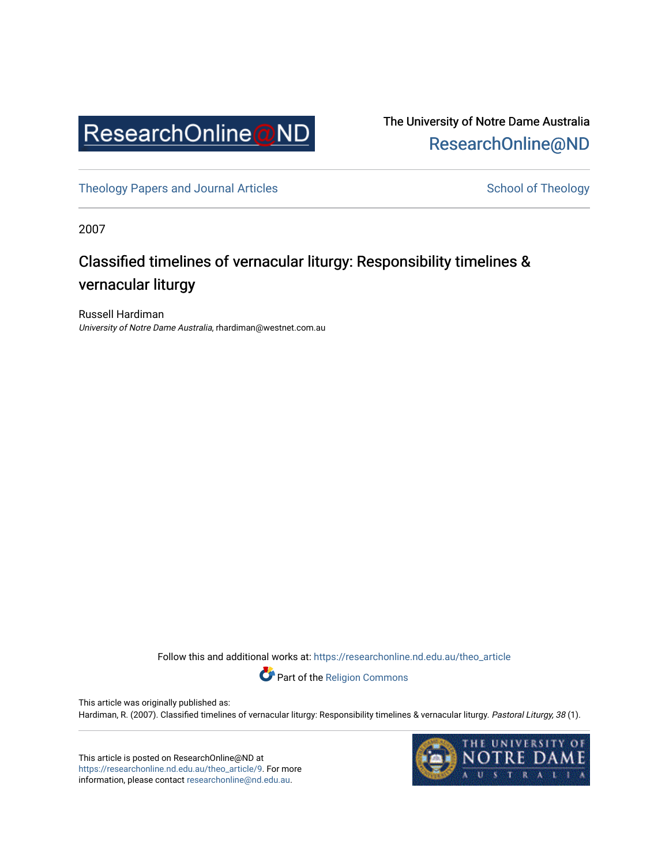

The University of Notre Dame Australia [ResearchOnline@ND](https://researchonline.nd.edu.au/) 

[Theology Papers and Journal Articles](https://researchonline.nd.edu.au/theo_article) Theology School of Theology

2007

# Classified timelines of vernacular liturgy: Responsibility timelines & vernacular liturgy

Russell Hardiman University of Notre Dame Australia, rhardiman@westnet.com.au

Follow this and additional works at: [https://researchonline.nd.edu.au/theo\\_article](https://researchonline.nd.edu.au/theo_article?utm_source=researchonline.nd.edu.au%2Ftheo_article%2F9&utm_medium=PDF&utm_campaign=PDFCoverPages) 



This article was originally published as: Hardiman, R. (2007). Classified timelines of vernacular liturgy: Responsibility timelines & vernacular liturgy. Pastoral Liturgy, 38 (1).

This article is posted on ResearchOnline@ND at [https://researchonline.nd.edu.au/theo\\_article/9](https://researchonline.nd.edu.au/theo_article/9). For more information, please contact [researchonline@nd.edu.au.](mailto:researchonline@nd.edu.au)

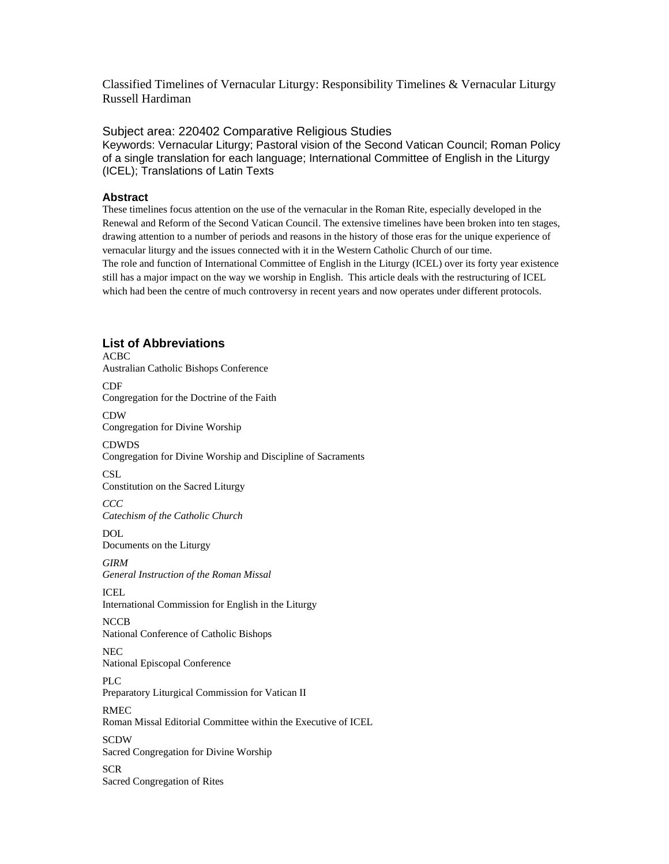Classified Timelines of Vernacular Liturgy: Responsibility Timelines & Vernacular Liturgy Russell Hardiman

Subject area: 220402 Comparative Religious Studies Keywords: Vernacular Liturgy; Pastoral vision of the Second Vatican Council; Roman Policy of a single translation for each language; International Committee of English in the Liturgy (ICEL); Translations of Latin Texts

## **Abstract**

These timelines focus attention on the use of the vernacular in the Roman Rite, especially developed in the Renewal and Reform of the Second Vatican Council. The extensive timelines have been broken into ten stages, drawing attention to a number of periods and reasons in the history of those eras for the unique experience of vernacular liturgy and the issues connected with it in the Western Catholic Church of our time. The role and function of International Committee of English in the Liturgy (ICEL) over its forty year existence still has a major impact on the way we worship in English. This article deals with the restructuring of ICEL which had been the centre of much controversy in recent years and now operates under different protocols.

## **List of Abbreviations**

ACBC Australian Catholic Bishops Conference CDF Congregation for the Doctrine of the Faith CDW Congregation for Divine Worship CDWDS Congregation for Divine Worship and Discipline of Sacraments **CSL** Constitution on the Sacred Liturgy *CCC Catechism of the Catholic Church*  DOL Documents on the Liturgy *GIRM General Instruction of the Roman Missal*  ICEL International Commission for English in the Liturgy **NCCB** National Conference of Catholic Bishops NEC National Episcopal Conference PLC Preparatory Liturgical Commission for Vatican II RMEC Roman Missal Editorial Committee within the Executive of ICEL SCDW Sacred Congregation for Divine Worship SCR Sacred Congregation of Rites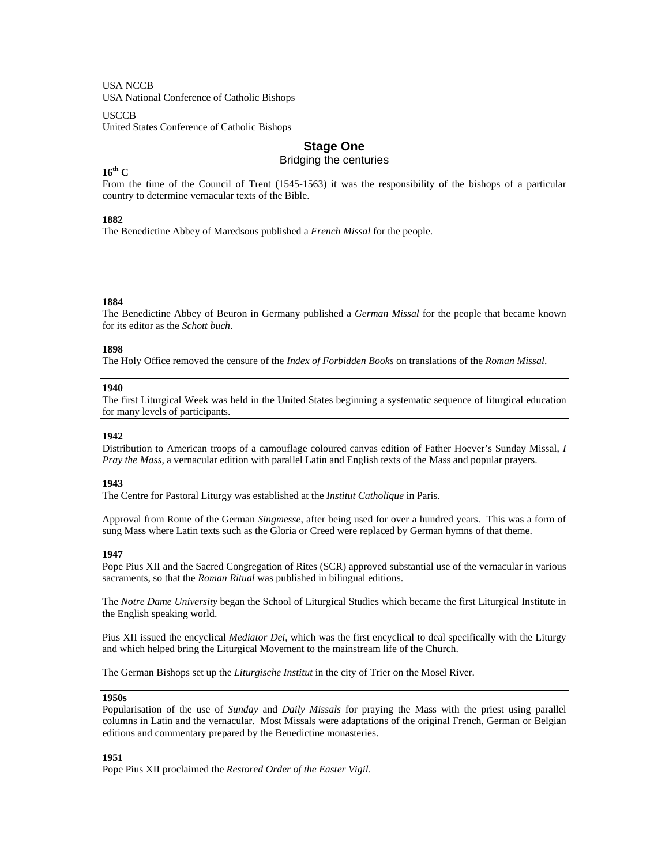USA NCCB

USA National Conference of Catholic Bishops

**USCCB** 

United States Conference of Catholic Bishops

## **Stage One**

Bridging the centuries

## **16th C**

From the time of the Council of Trent (1545-1563) it was the responsibility of the bishops of a particular country to determine vernacular texts of the Bible.

#### **1882**

The Benedictine Abbey of Maredsous published a *French Missal* for the people.

#### **1884**

The Benedictine Abbey of Beuron in Germany published a *German Missal* for the people that became known for its editor as the *Schott buch*.

#### **1898**

The Holy Office removed the censure of the *Index of Forbidden Books* on translations of the *Roman Missal*.

#### **1940**

The first Liturgical Week was held in the United States beginning a systematic sequence of liturgical education for many levels of participants.

#### **1942**

Distribution to American troops of a camouflage coloured canvas edition of Father Hoever's Sunday Missal, *I Pray the Mass*, a vernacular edition with parallel Latin and English texts of the Mass and popular prayers.

#### **1943**

The Centre for Pastoral Liturgy was established at the *Institut Catholique* in Paris.

Approval from Rome of the German *Singmesse*, after being used for over a hundred years. This was a form of sung Mass where Latin texts such as the Gloria or Creed were replaced by German hymns of that theme.

#### **1947**

Pope Pius XII and the Sacred Congregation of Rites (SCR) approved substantial use of the vernacular in various sacraments, so that the *Roman Ritual* was published in bilingual editions.

The *Notre Dame University* began the School of Liturgical Studies which became the first Liturgical Institute in the English speaking world.

Pius XII issued the encyclical *Mediator Dei*, which was the first encyclical to deal specifically with the Liturgy and which helped bring the Liturgical Movement to the mainstream life of the Church.

The German Bishops set up the *Liturgische Institut* in the city of Trier on the Mosel River.

#### **1950s**

Popularisation of the use of *Sunday* and *Daily Missals* for praying the Mass with the priest using parallel columns in Latin and the vernacular. Most Missals were adaptations of the original French, German or Belgian editions and commentary prepared by the Benedictine monasteries.

#### **1951**

Pope Pius XII proclaimed the *Restored Order of the Easter Vigil*.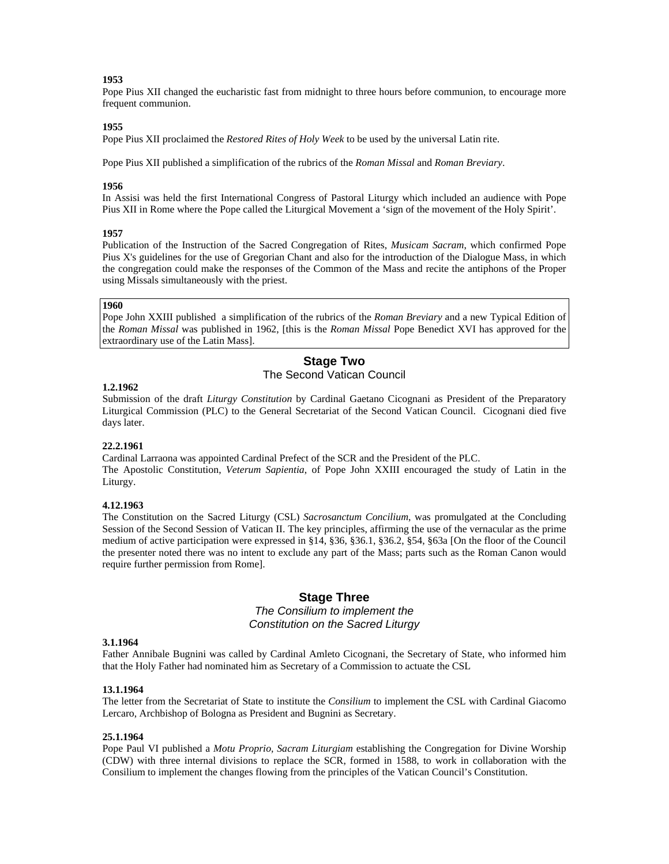#### **1953**

Pope Pius XII changed the eucharistic fast from midnight to three hours before communion, to encourage more frequent communion.

## **1955**

Pope Pius XII proclaimed the *Restored Rites of Holy Week* to be used by the universal Latin rite.

Pope Pius XII published a simplification of the rubrics of the *Roman Missal* and *Roman Breviary*.

#### **1956**

In Assisi was held the first International Congress of Pastoral Liturgy which included an audience with Pope Pius XII in Rome where the Pope called the Liturgical Movement a 'sign of the movement of the Holy Spirit'.

#### **1957**

Publication of the Instruction of the Sacred Congregation of Rites, *Musicam Sacram*, which confirmed Pope Pius X's guidelines for the use of Gregorian Chant and also for the introduction of the Dialogue Mass, in which the congregation could make the responses of the Common of the Mass and recite the antiphons of the Proper using Missals simultaneously with the priest.

### **1960**

Pope John XXIII published a simplification of the rubrics of the *Roman Breviary* and a new Typical Edition of the *Roman Missal* was published in 1962, [this is the *Roman Missal* Pope Benedict XVI has approved for the extraordinary use of the Latin Mass].

## **Stage Two**

## The Second Vatican Council

## **1.2.1962**

Submission of the draft *Liturgy Constitution* by Cardinal Gaetano Cicognani as President of the Preparatory Liturgical Commission (PLC) to the General Secretariat of the Second Vatican Council. Cicognani died five days later.

#### **22.2.1961**

Cardinal Larraona was appointed Cardinal Prefect of the SCR and the President of the PLC. The Apostolic Constitution, *Veterum Sapientia*, of Pope John XXIII encouraged the study of Latin in the Liturgy.

## **4.12.1963**

The Constitution on the Sacred Liturgy (CSL) *Sacrosanctum Concilium*, was promulgated at the Concluding Session of the Second Session of Vatican II. The key principles, affirming the use of the vernacular as the prime medium of active participation were expressed in §14, §36, §36.1, §36.2, §54, §63a [On the floor of the Council the presenter noted there was no intent to exclude any part of the Mass; parts such as the Roman Canon would require further permission from Rome].

## **Stage Three**

## *The Consilium to implement the Constitution on the Sacred Liturgy*

#### **3.1.1964**

Father Annibale Bugnini was called by Cardinal Amleto Cicognani, the Secretary of State, who informed him that the Holy Father had nominated him as Secretary of a Commission to actuate the CSL

#### **13.1.1964**

The letter from the Secretariat of State to institute the *Consilium* to implement the CSL with Cardinal Giacomo Lercaro, Archbishop of Bologna as President and Bugnini as Secretary.

#### **25.1.1964**

Pope Paul VI published a *Motu Proprio, Sacram Liturgiam* establishing the Congregation for Divine Worship (CDW) with three internal divisions to replace the SCR, formed in 1588, to work in collaboration with the Consilium to implement the changes flowing from the principles of the Vatican Council's Constitution.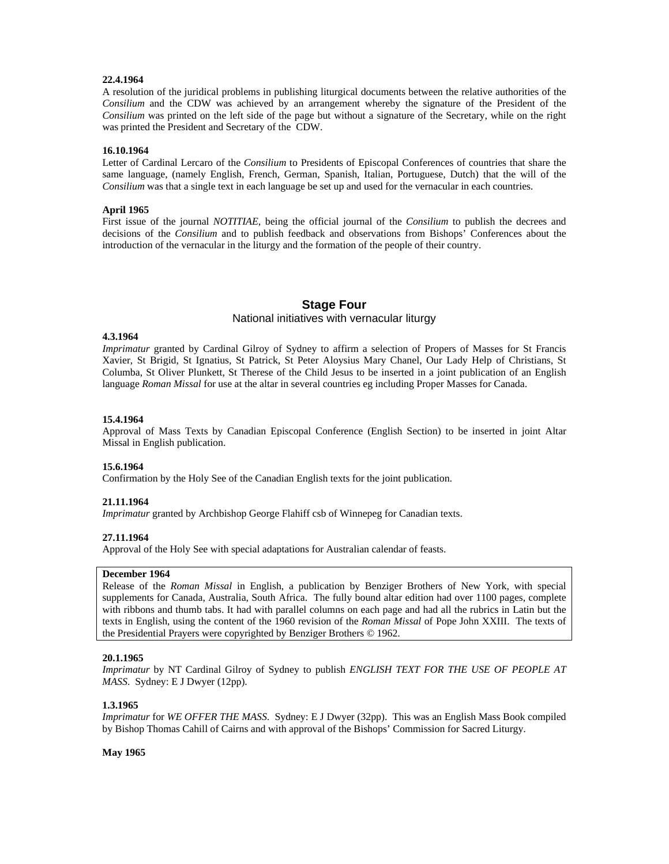## **22.4.1964**

A resolution of the juridical problems in publishing liturgical documents between the relative authorities of the *Consilium* and the CDW was achieved by an arrangement whereby the signature of the President of the *Consilium* was printed on the left side of the page but without a signature of the Secretary, while on the right was printed the President and Secretary of the CDW.

## **16.10.1964**

Letter of Cardinal Lercaro of the *Consilium* to Presidents of Episcopal Conferences of countries that share the same language, (namely English, French, German, Spanish, Italian, Portuguese, Dutch) that the will of the *Consilium* was that a single text in each language be set up and used for the vernacular in each countries.

### **April 1965**

First issue of the journal *NOTITIAE*, being the official journal of the *Consilium* to publish the decrees and decisions of the *Consilium* and to publish feedback and observations from Bishops' Conferences about the introduction of the vernacular in the liturgy and the formation of the people of their country.

## **Stage Four**

## National initiatives with vernacular liturgy

## **4.3.1964**

*Imprimatur* granted by Cardinal Gilroy of Sydney to affirm a selection of Propers of Masses for St Francis Xavier, St Brigid, St Ignatius, St Patrick, St Peter Aloysius Mary Chanel, Our Lady Help of Christians, St Columba, St Oliver Plunkett, St Therese of the Child Jesus to be inserted in a joint publication of an English language *Roman Missal* for use at the altar in several countries eg including Proper Masses for Canada.

### **15.4.1964**

Approval of Mass Texts by Canadian Episcopal Conference (English Section) to be inserted in joint Altar Missal in English publication.

#### **15.6.1964**

Confirmation by the Holy See of the Canadian English texts for the joint publication.

## **21.11.1964**

*Imprimatur* granted by Archbishop George Flahiff csb of Winnepeg for Canadian texts.

## **27.11.1964**

Approval of the Holy See with special adaptations for Australian calendar of feasts.

#### **December 1964**

Release of the *Roman Missal* in English, a publication by Benziger Brothers of New York, with special supplements for Canada, Australia, South Africa. The fully bound altar edition had over 1100 pages, complete with ribbons and thumb tabs. It had with parallel columns on each page and had all the rubrics in Latin but the texts in English, using the content of the 1960 revision of the *Roman Missal* of Pope John XXIII. The texts of the Presidential Prayers were copyrighted by Benziger Brothers © 1962.

## **20.1.1965**

*Imprimatur* by NT Cardinal Gilroy of Sydney to publish *ENGLISH TEXT FOR THE USE OF PEOPLE AT MASS*. Sydney: E J Dwyer (12pp).

## **1.3.1965**

*Imprimatur* for *WE OFFER THE MASS*. Sydney: E J Dwyer (32pp). This was an English Mass Book compiled by Bishop Thomas Cahill of Cairns and with approval of the Bishops' Commission for Sacred Liturgy.

#### **May 1965**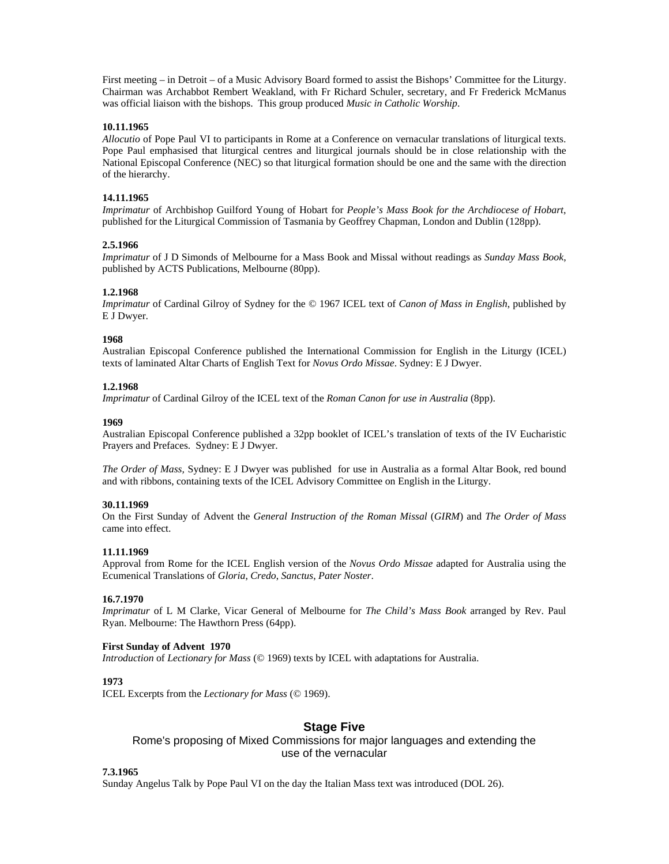First meeting – in Detroit – of a Music Advisory Board formed to assist the Bishops' Committee for the Liturgy. Chairman was Archabbot Rembert Weakland, with Fr Richard Schuler, secretary, and Fr Frederick McManus was official liaison with the bishops. This group produced *Music in Catholic Worship*.

## **10.11.1965**

*Allocutio* of Pope Paul VI to participants in Rome at a Conference on vernacular translations of liturgical texts. Pope Paul emphasised that liturgical centres and liturgical journals should be in close relationship with the National Episcopal Conference (NEC) so that liturgical formation should be one and the same with the direction of the hierarchy.

## **14.11.1965**

*Imprimatur* of Archbishop Guilford Young of Hobart for *People's Mass Book for the Archdiocese of Hobart*, published for the Liturgical Commission of Tasmania by Geoffrey Chapman, London and Dublin (128pp).

## **2.5.1966**

*Imprimatur* of J D Simonds of Melbourne for a Mass Book and Missal without readings as *Sunday Mass Book*, published by ACTS Publications, Melbourne (80pp).

### **1.2.1968**

*Imprimatur* of Cardinal Gilroy of Sydney for the © 1967 ICEL text of *Canon of Mass in English*, published by E J Dwyer.

### **1968**

Australian Episcopal Conference published the International Commission for English in the Liturgy (ICEL) texts of laminated Altar Charts of English Text for *Novus Ordo Missae*. Sydney: E J Dwyer.

### **1.2.1968**

*Imprimatur* of Cardinal Gilroy of the ICEL text of the *Roman Canon for use in Australia* (8pp).

#### **1969**

Australian Episcopal Conference published a 32pp booklet of ICEL's translation of texts of the IV Eucharistic Prayers and Prefaces. Sydney: E J Dwyer.

*The Order of Mass,* Sydney: E J Dwyer was published for use in Australia as a formal Altar Book, red bound and with ribbons, containing texts of the ICEL Advisory Committee on English in the Liturgy.

### **30.11.1969**

On the First Sunday of Advent the *General Instruction of the Roman Missal* (*GIRM*) and *The Order of Mass* came into effect.

#### **11.11.1969**

Approval from Rome for the ICEL English version of the *Novus Ordo Missae* adapted for Australia using the Ecumenical Translations of *Gloria*, *Credo*, *Sanctus*, *Pater Noster*.

## **16.7.1970**

*Imprimatur* of L M Clarke, Vicar General of Melbourne for *The Child's Mass Book* arranged by Rev. Paul Ryan. Melbourne: The Hawthorn Press (64pp).

## **First Sunday of Advent 1970**

*Introduction* of *Lectionary for Mass* (© 1969) texts by ICEL with adaptations for Australia.

**1973** 

ICEL Excerpts from the *Lectionary for Mass* (© 1969).

## **Stage Five**

Rome's proposing of Mixed Commissions for major languages and extending the use of the vernacular

#### **7.3.1965**

Sunday Angelus Talk by Pope Paul VI on the day the Italian Mass text was introduced (DOL 26).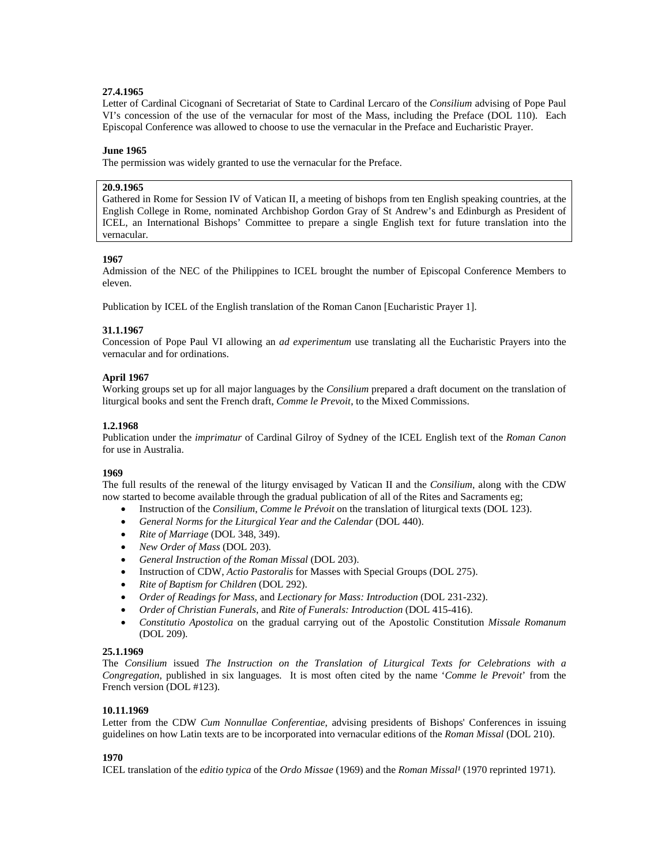## **27.4.1965**

Letter of Cardinal Cicognani of Secretariat of State to Cardinal Lercaro of the *Consilium* advising of Pope Paul VI's concession of the use of the vernacular for most of the Mass, including the Preface (DOL 110). Each Episcopal Conference was allowed to choose to use the vernacular in the Preface and Eucharistic Prayer.

## **June 1965**

The permission was widely granted to use the vernacular for the Preface.

## **20.9.1965**

Gathered in Rome for Session IV of Vatican II, a meeting of bishops from ten English speaking countries, at the English College in Rome, nominated Archbishop Gordon Gray of St Andrew's and Edinburgh as President of ICEL, an International Bishops' Committee to prepare a single English text for future translation into the vernacular.

## **1967**

Admission of the NEC of the Philippines to ICEL brought the number of Episcopal Conference Members to eleven.

Publication by ICEL of the English translation of the Roman Canon [Eucharistic Prayer 1].

## **31.1.1967**

Concession of Pope Paul VI allowing an *ad experimentum* use translating all the Eucharistic Prayers into the vernacular and for ordinations.

## **April 1967**

Working groups set up for all major languages by the *Consilium* prepared a draft document on the translation of liturgical books and sent the French draft, *Comme le Prevoit*, to the Mixed Commissions.

## **1.2.1968**

Publication under the *imprimatur* of Cardinal Gilroy of Sydney of the ICEL English text of the *Roman Canon* for use in Australia.

## **1969**

The full results of the renewal of the liturgy envisaged by Vatican II and the *Consilium*, along with the CDW now started to become available through the gradual publication of all of the Rites and Sacraments eg;

- Instruction of the *Consilium*, *Comme le Prévoit* on the translation of liturgical texts (DOL 123).
- *General Norms for the Liturgical Year and the Calendar* (DOL 440).
- *Rite of Marriage* (DOL 348, 349).
- *New Order of Mass* (DOL 203).
- *General Instruction of the Roman Missal* (DOL 203).
- Instruction of CDW, *Actio Pastoralis* for Masses with Special Groups (DOL 275).
- *Rite of Baptism for Children* (DOL 292).
- *Order of Readings for Mass*, and *Lectionary for Mass: Introduction* (DOL 231-232).
- *Order of Christian Funerals*, and *Rite of Funerals: Introduction* (DOL 415-416).
- *Constitutio Apostolica* on the gradual carrying out of the Apostolic Constitution *Missale Romanum*  (DOL 209).

#### **25.1.1969**

The *Consilium* issued *The Instruction on the Translation of Liturgical Texts for Celebrations with a Congregation*, published in six languages. It is most often cited by the name '*Comme le Prevoit*' from the French version (DOL #123).

## **10.11.1969**

Letter from the CDW *Cum Nonnullae Conferentiae*, advising presidents of Bishops' Conferences in issuing guidelines on how Latin texts are to be incorporated into vernacular editions of the *Roman Missal* (DOL 210).

## **1970**

ICEL translation of the *editio typica* of the *Ordo Missae* (1969) and the *Roman Missal<sup>1</sup>* (1970 reprinted 1971).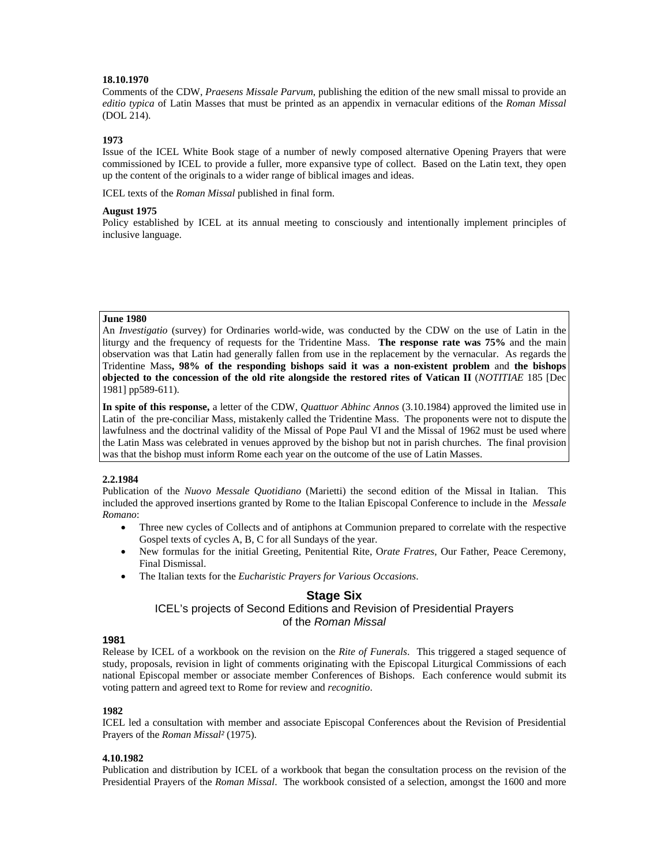## **18.10.1970**

Comments of the CDW, *Praesens Missale Parvum*, publishing the edition of the new small missal to provide an *editio typica* of Latin Masses that must be printed as an appendix in vernacular editions of the *Roman Missal* (DOL 214).

### **1973**

Issue of the ICEL White Book stage of a number of newly composed alternative Opening Prayers that were commissioned by ICEL to provide a fuller, more expansive type of collect. Based on the Latin text, they open up the content of the originals to a wider range of biblical images and ideas.

ICEL texts of the *Roman Missal* published in final form.

#### **August 1975**

Policy established by ICEL at its annual meeting to consciously and intentionally implement principles of inclusive language.

#### **June 1980**

An *Investigatio* (survey) for Ordinaries world-wide, was conducted by the CDW on the use of Latin in the liturgy and the frequency of requests for the Tridentine Mass. **The response rate was 75%** and the main observation was that Latin had generally fallen from use in the replacement by the vernacular. As regards the Tridentine Mass**, 98% of the responding bishops said it was a non-existent problem** and **the bishops objected to the concession of the old rite alongside the restored rites of Vatican II** (*NOTITIAE* 185 [Dec 1981] pp589-611).

**In spite of this response,** a letter of the CDW, *Quattuor Abhinc Annos* (3.10.1984) approved the limited use in Latin of the pre-conciliar Mass, mistakenly called the Tridentine Mass. The proponents were not to dispute the lawfulness and the doctrinal validity of the Missal of Pope Paul VI and the Missal of 1962 must be used where the Latin Mass was celebrated in venues approved by the bishop but not in parish churches. The final provision was that the bishop must inform Rome each year on the outcome of the use of Latin Masses.

## **2.2.1984**

Publication of the *Nuovo Messale Quotidiano* (Marietti) the second edition of the Missal in Italian. This included the approved insertions granted by Rome to the Italian Episcopal Conference to include in the *Messale Romano*:

- Three new cycles of Collects and of antiphons at Communion prepared to correlate with the respective Gospel texts of cycles A, B, C for all Sundays of the year.
- New formulas for the initial Greeting, Penitential Rite, O*rate Fratres*, Our Father, Peace Ceremony, Final Dismissal.
- The Italian texts for the *Eucharistic Prayers for Various Occasions*.

## **Stage Six**

ICEL's projects of Second Editions and Revision of Presidential Prayers of the *Roman Missal* 

### **1981**

Release by ICEL of a workbook on the revision on the *Rite of Funerals*. This triggered a staged sequence of study, proposals, revision in light of comments originating with the Episcopal Liturgical Commissions of each national Episcopal member or associate member Conferences of Bishops. Each conference would submit its voting pattern and agreed text to Rome for review and *recognitio*.

#### **1982**

ICEL led a consultation with member and associate Episcopal Conferences about the Revision of Presidential Prayers of the *Roman Missal²* (1975).

#### **4.10.1982**

Publication and distribution by ICEL of a workbook that began the consultation process on the revision of the Presidential Prayers of the *Roman Missal*. The workbook consisted of a selection, amongst the 1600 and more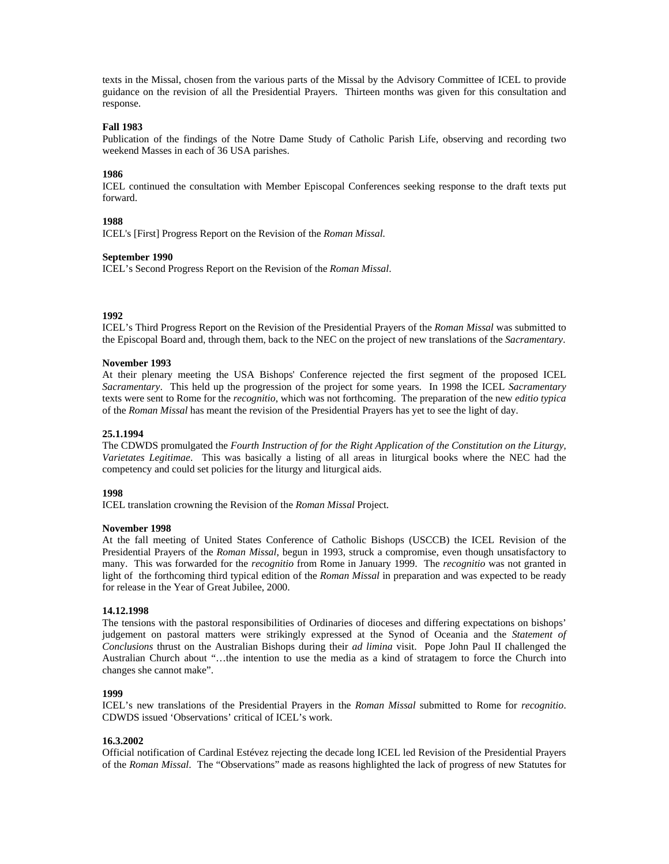texts in the Missal, chosen from the various parts of the Missal by the Advisory Committee of ICEL to provide guidance on the revision of all the Presidential Prayers. Thirteen months was given for this consultation and response.

## **Fall 1983**

Publication of the findings of the Notre Dame Study of Catholic Parish Life, observing and recording two weekend Masses in each of 36 USA parishes.

### **1986**

ICEL continued the consultation with Member Episcopal Conferences seeking response to the draft texts put forward.

#### **1988**

ICEL's [First] Progress Report on the Revision of the *Roman Missal.*

#### **September 1990**

ICEL's Second Progress Report on the Revision of the *Roman Missal*.

## **1992**

ICEL's Third Progress Report on the Revision of the Presidential Prayers of the *Roman Missal* was submitted to the Episcopal Board and, through them, back to the NEC on the project of new translations of the *Sacramentary*.

#### **November 1993**

At their plenary meeting the USA Bishops' Conference rejected the first segment of the proposed ICEL *Sacramentary*. This held up the progression of the project for some years. In 1998 the ICEL *Sacramentary* texts were sent to Rome for the *recognitio*, which was not forthcoming. The preparation of the new *editio typica* of the *Roman Missal* has meant the revision of the Presidential Prayers has yet to see the light of day.

#### **25.1.1994**

The CDWDS promulgated the *Fourth Instruction of for the Right Application of the Constitution on the Liturgy, Varietates Legitimae*. This was basically a listing of all areas in liturgical books where the NEC had the competency and could set policies for the liturgy and liturgical aids.

### **1998**

ICEL translation crowning the Revision of the *Roman Missal* Project.

## **November 1998**

At the fall meeting of United States Conference of Catholic Bishops (USCCB) the ICEL Revision of the Presidential Prayers of the *Roman Missal*, begun in 1993, struck a compromise, even though unsatisfactory to many. This was forwarded for the *recognitio* from Rome in January 1999. The *recognitio* was not granted in light of the forthcoming third typical edition of the *Roman Missal* in preparation and was expected to be ready for release in the Year of Great Jubilee, 2000.

## **14.12.1998**

The tensions with the pastoral responsibilities of Ordinaries of dioceses and differing expectations on bishops' judgement on pastoral matters were strikingly expressed at the Synod of Oceania and the *Statement of Conclusions* thrust on the Australian Bishops during their *ad limina* visit. Pope John Paul II challenged the Australian Church about "…the intention to use the media as a kind of stratagem to force the Church into changes she cannot make".

#### **1999**

ICEL's new translations of the Presidential Prayers in the *Roman Missal* submitted to Rome for *recognitio*. CDWDS issued 'Observations' critical of ICEL's work.

#### **16.3.2002**

Official notification of Cardinal Estévez rejecting the decade long ICEL led Revision of the Presidential Prayers of the *Roman Missal*. The "Observations" made as reasons highlighted the lack of progress of new Statutes for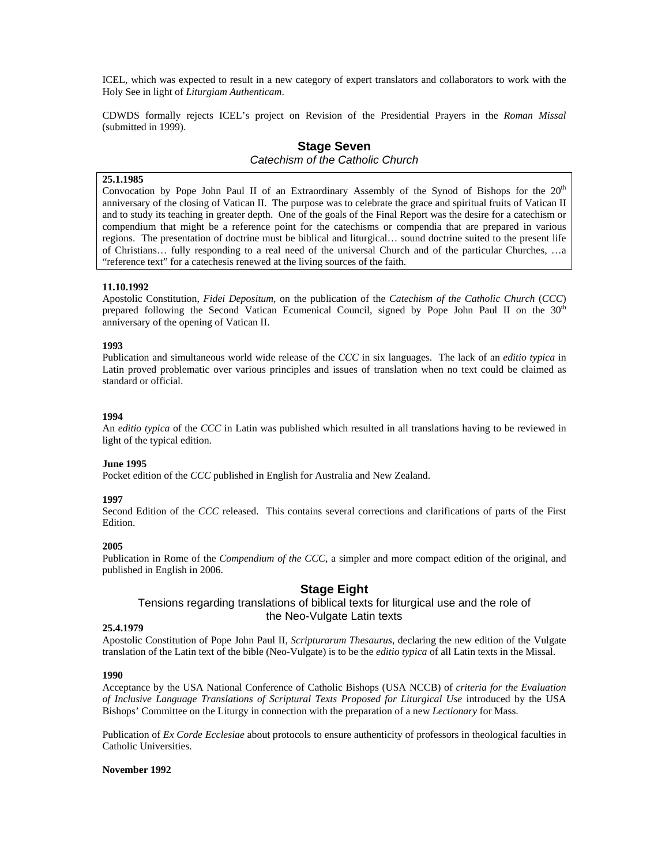ICEL, which was expected to result in a new category of expert translators and collaborators to work with the Holy See in light of *Liturgiam Authenticam*.

CDWDS formally rejects ICEL's project on Revision of the Presidential Prayers in the *Roman Missal* (submitted in 1999).

## **Stage Seven**  *Catechism of the Catholic Church*

## **25.1.1985**

Convocation by Pope John Paul II of an Extraordinary Assembly of the Synod of Bishops for the 20<sup>th</sup> anniversary of the closing of Vatican II. The purpose was to celebrate the grace and spiritual fruits of Vatican II and to study its teaching in greater depth. One of the goals of the Final Report was the desire for a catechism or compendium that might be a reference point for the catechisms or compendia that are prepared in various regions. The presentation of doctrine must be biblical and liturgical… sound doctrine suited to the present life of Christians… fully responding to a real need of the universal Church and of the particular Churches, …a "reference text" for a catechesis renewed at the living sources of the faith.

## **11.10.1992**

Apostolic Constitution, *Fidei Depositum,* on the publication of the *Catechism of the Catholic Church* (*CCC*) prepared following the Second Vatican Ecumenical Council, signed by Pope John Paul II on the 30<sup>th</sup> anniversary of the opening of Vatican II.

#### **1993**

Publication and simultaneous world wide release of the *CCC* in six languages. The lack of an *editio typica* in Latin proved problematic over various principles and issues of translation when no text could be claimed as standard or official.

#### **1994**

An *editio typica* of the *CCC* in Latin was published which resulted in all translations having to be reviewed in light of the typical edition.

#### **June 1995**

Pocket edition of the *CCC* published in English for Australia and New Zealand.

#### **1997**

Second Edition of the *CCC* released. This contains several corrections and clarifications of parts of the First Edition.

#### **2005**

Publication in Rome of the *Compendium of the CCC*, a simpler and more compact edition of the original, and published in English in 2006.

## **Stage Eight**

## Tensions regarding translations of biblical texts for liturgical use and the role of the Neo-Vulgate Latin texts

#### **25.4.1979**

Apostolic Constitution of Pope John Paul II, *Scripturarum Thesaurus*, declaring the new edition of the Vulgate translation of the Latin text of the bible (Neo-Vulgate) is to be the *editio typica* of all Latin texts in the Missal.

#### **1990**

Acceptance by the USA National Conference of Catholic Bishops (USA NCCB) of *criteria for the Evaluation of Inclusive Language Translations of Scriptural Texts Proposed for Liturgical Use* introduced by the USA Bishops' Committee on the Liturgy in connection with the preparation of a new *Lectionary* for Mass.

Publication of *Ex Corde Ecclesiae* about protocols to ensure authenticity of professors in theological faculties in Catholic Universities.

#### **November 1992**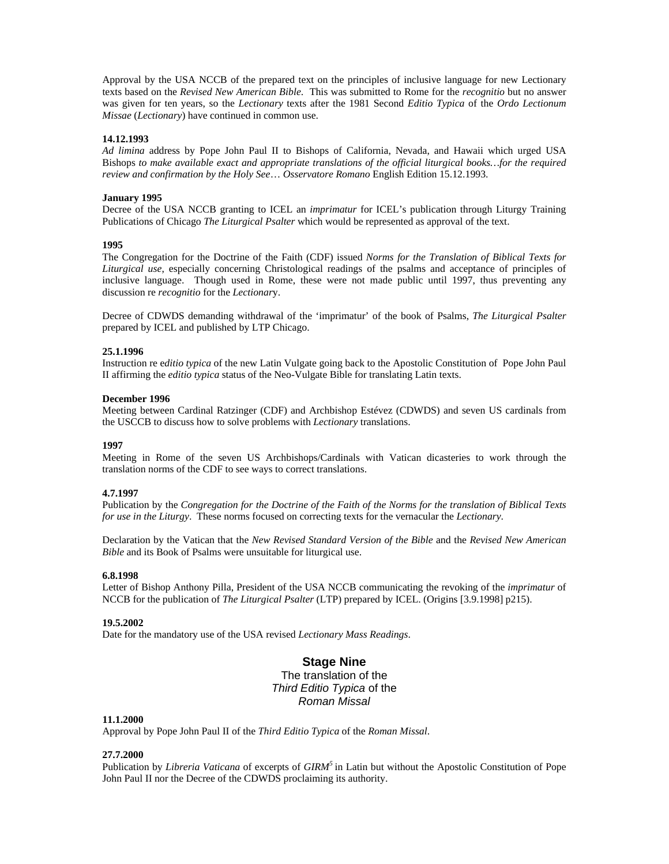Approval by the USA NCCB of the prepared text on the principles of inclusive language for new Lectionary texts based on the *Revised New American Bible*. This was submitted to Rome for the *recognitio* but no answer was given for ten years, so the *Lectionary* texts after the 1981 Second *Editio Typica* of the *Ordo Lectionum Missae* (*Lectionary*) have continued in common use.

### **14.12.1993**

*Ad limina* address by Pope John Paul II to Bishops of California, Nevada, and Hawaii which urged USA Bishops *to make available exact and appropriate translations of the official liturgical books…for the required review and confirmation by the Holy See*… *Osservatore Romano* English Edition 15.12.1993.

#### **January 1995**

Decree of the USA NCCB granting to ICEL an *imprimatur* for ICEL's publication through Liturgy Training Publications of Chicago *The Liturgical Psalter* which would be represented as approval of the text.

#### **1995**

The Congregation for the Doctrine of the Faith (CDF) issued *Norms for the Translation of Biblical Texts for Liturgical use*, especially concerning Christological readings of the psalms and acceptance of principles of inclusive language. Though used in Rome, these were not made public until 1997, thus preventing any discussion re *recognitio* for the *Lectionar*y.

Decree of CDWDS demanding withdrawal of the 'imprimatur' of the book of Psalms, *The Liturgical Psalter* prepared by ICEL and published by LTP Chicago.

#### **25.1.1996**

Instruction re e*ditio typica* of the new Latin Vulgate going back to the Apostolic Constitution of Pope John Paul II affirming the *editio typica* status of the Neo-Vulgate Bible for translating Latin texts.

#### **December 1996**

Meeting between Cardinal Ratzinger (CDF) and Archbishop Estévez (CDWDS) and seven US cardinals from the USCCB to discuss how to solve problems with *Lectionary* translations.

#### **1997**

Meeting in Rome of the seven US Archbishops/Cardinals with Vatican dicasteries to work through the translation norms of the CDF to see ways to correct translations.

## **4.7.1997**

Publication by the *Congregation for the Doctrine of the Faith of the Norms for the translation of Biblical Texts for use in the Liturgy*. These norms focused on correcting texts for the vernacular the *Lectionary*.

Declaration by the Vatican that the *New Revised Standard Version of the Bible* and the *Revised New American Bible* and its Book of Psalms were unsuitable for liturgical use.

#### **6.8.1998**

Letter of Bishop Anthony Pilla, President of the USA NCCB communicating the revoking of the *imprimatur* of NCCB for the publication of *The Liturgical Psalter* (LTP) prepared by ICEL. (Origins [3.9.1998] p215).

## **19.5.2002**

Date for the mandatory use of the USA revised *Lectionary Mass Readings*.

## **Stage Nine**

The translation of the *Third Editio Typica* of the *Roman Missal* 

#### **11.1.2000**

Approval by Pope John Paul II of the *Third Editio Typica* of the *Roman Missal*.

#### **27.7.2000**

Publication by *Libreria Vaticana* of excerpts of *GIRM<sup>5</sup>*in Latin but without the Apostolic Constitution of Pope John Paul II nor the Decree of the CDWDS proclaiming its authority.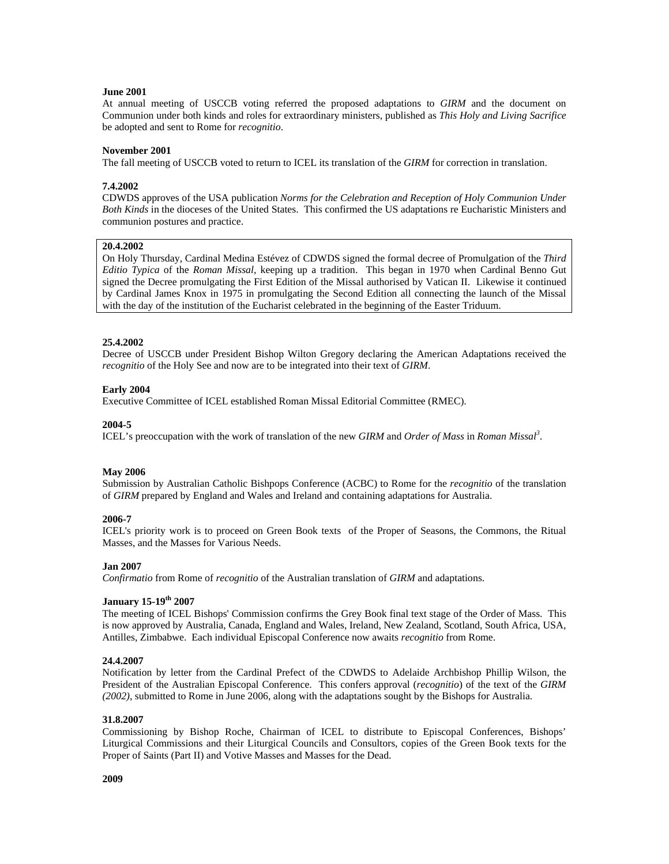#### **June 2001**

At annual meeting of USCCB voting referred the proposed adaptations to *GIRM* and the document on Communion under both kinds and roles for extraordinary ministers, published as *This Holy and Living Sacrifice* be adopted and sent to Rome for *recognitio*.

#### **November 2001**

The fall meeting of USCCB voted to return to ICEL its translation of the *GIRM* for correction in translation.

### **7.4.2002**

CDWDS approves of the USA publication *Norms for the Celebration and Reception of Holy Communion Under Both Kinds* in the dioceses of the United States. This confirmed the US adaptations re Eucharistic Ministers and communion postures and practice.

## **20.4.2002**

On Holy Thursday, Cardinal Medina Estévez of CDWDS signed the formal decree of Promulgation of the *Third Editio Typica* of the *Roman Missal*, keeping up a tradition. This began in 1970 when Cardinal Benno Gut signed the Decree promulgating the First Edition of the Missal authorised by Vatican II. Likewise it continued by Cardinal James Knox in 1975 in promulgating the Second Edition all connecting the launch of the Missal with the day of the institution of the Eucharist celebrated in the beginning of the Easter Triduum.

### **25.4.2002**

Decree of USCCB under President Bishop Wilton Gregory declaring the American Adaptations received the *recognitio* of the Holy See and now are to be integrated into their text of *GIRM*.

### **Early 2004**

Executive Committee of ICEL established Roman Missal Editorial Committee (RMEC).

### **2004-5**

ICEL's preoccupation with the work of translation of the new *GIRM* and *Order of Mass* in *Roman Missal<sup>3</sup>* .

### **May 2006**

Submission by Australian Catholic Bishpops Conference (ACBC) to Rome for the *recognitio* of the translation of *GIRM* prepared by England and Wales and Ireland and containing adaptations for Australia.

## **2006-7**

ICEL's priority work is to proceed on Green Book texts of the Proper of Seasons, the Commons, the Ritual Masses, and the Masses for Various Needs.

#### **Jan 2007**

*Confirmatio* from Rome of *recognitio* of the Australian translation of *GIRM* and adaptations.

### **January 15-19th 2007**

The meeting of ICEL Bishops' Commission confirms the Grey Book final text stage of the Order of Mass. This is now approved by Australia, Canada, England and Wales, Ireland, New Zealand, Scotland, South Africa, USA, Antilles, Zimbabwe. Each individual Episcopal Conference now awaits *recognitio* from Rome.

#### **24.4.2007**

Notification by letter from the Cardinal Prefect of the CDWDS to Adelaide Archbishop Phillip Wilson, the President of the Australian Episcopal Conference. This confers approval (*recognitio*) of the text of the *GIRM (2002)*, submitted to Rome in June 2006, along with the adaptations sought by the Bishops for Australia.

#### **31.8.2007**

Commissioning by Bishop Roche, Chairman of ICEL to distribute to Episcopal Conferences, Bishops' Liturgical Commissions and their Liturgical Councils and Consultors, copies of the Green Book texts for the Proper of Saints (Part II) and Votive Masses and Masses for the Dead.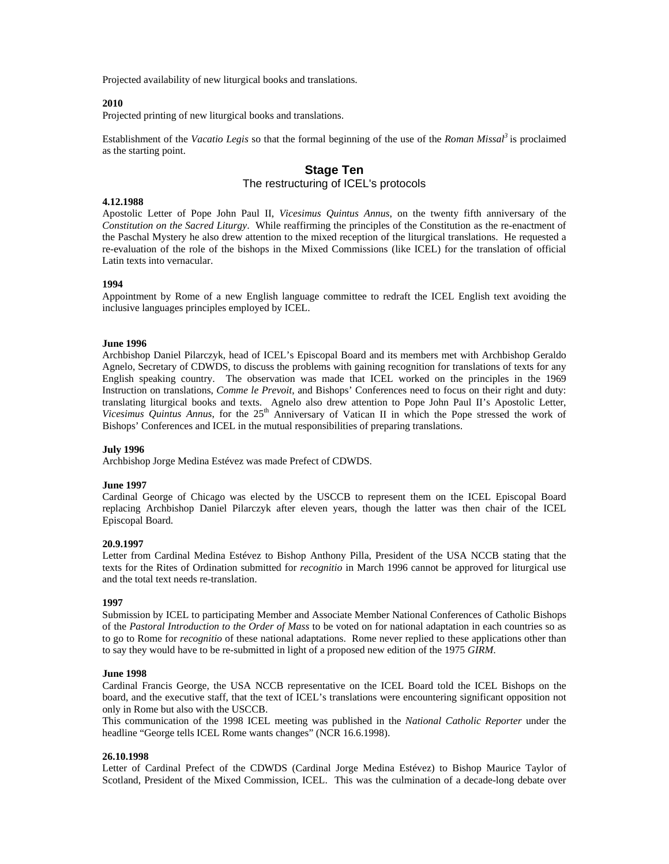Projected availability of new liturgical books and translations.

### **2010**

Projected printing of new liturgical books and translations.

Establishment of the *Vacatio Legis* so that the formal beginning of the use of the *Roman Missal<sup>3</sup>* is proclaimed as the starting point.

## **Stage Ten**

## The restructuring of ICEL's protocols

#### **4.12.1988**

Apostolic Letter of Pope John Paul II, *Vicesimus Quintus Annus*, on the twenty fifth anniversary of the *Constitution on the Sacred Liturgy*. While reaffirming the principles of the Constitution as the re-enactment of the Paschal Mystery he also drew attention to the mixed reception of the liturgical translations. He requested a re-evaluation of the role of the bishops in the Mixed Commissions (like ICEL) for the translation of official Latin texts into vernacular.

#### **1994**

Appointment by Rome of a new English language committee to redraft the ICEL English text avoiding the inclusive languages principles employed by ICEL.

#### **June 1996**

Archbishop Daniel Pilarczyk, head of ICEL's Episcopal Board and its members met with Archbishop Geraldo Agnelo, Secretary of CDWDS, to discuss the problems with gaining recognition for translations of texts for any English speaking country. The observation was made that ICEL worked on the principles in the 1969 Instruction on translations, *Comme le Prevoit*, and Bishops' Conferences need to focus on their right and duty: translating liturgical books and texts. Agnelo also drew attention to Pope John Paul II's Apostolic Letter, Vicesimus Quintus Annus, for the 25<sup>th</sup> Anniversary of Vatican II in which the Pope stressed the work of Bishops' Conferences and ICEL in the mutual responsibilities of preparing translations.

## **July 1996**

Archbishop Jorge Medina Estévez was made Prefect of CDWDS.

#### **June 1997**

Cardinal George of Chicago was elected by the USCCB to represent them on the ICEL Episcopal Board replacing Archbishop Daniel Pilarczyk after eleven years, though the latter was then chair of the ICEL Episcopal Board.

#### **20.9.1997**

Letter from Cardinal Medina Estévez to Bishop Anthony Pilla, President of the USA NCCB stating that the texts for the Rites of Ordination submitted for *recognitio* in March 1996 cannot be approved for liturgical use and the total text needs re-translation.

#### **1997**

Submission by ICEL to participating Member and Associate Member National Conferences of Catholic Bishops of the *Pastoral Introduction to the Order of Mass* to be voted on for national adaptation in each countries so as to go to Rome for *recognitio* of these national adaptations. Rome never replied to these applications other than to say they would have to be re-submitted in light of a proposed new edition of the 1975 *GIRM*.

#### **June 1998**

Cardinal Francis George, the USA NCCB representative on the ICEL Board told the ICEL Bishops on the board, and the executive staff, that the text of ICEL's translations were encountering significant opposition not only in Rome but also with the USCCB.

This communication of the 1998 ICEL meeting was published in the *National Catholic Reporter* under the headline "George tells ICEL Rome wants changes" (NCR 16.6.1998).

#### **26.10.1998**

Letter of Cardinal Prefect of the CDWDS (Cardinal Jorge Medina Estévez) to Bishop Maurice Taylor of Scotland, President of the Mixed Commission, ICEL. This was the culmination of a decade-long debate over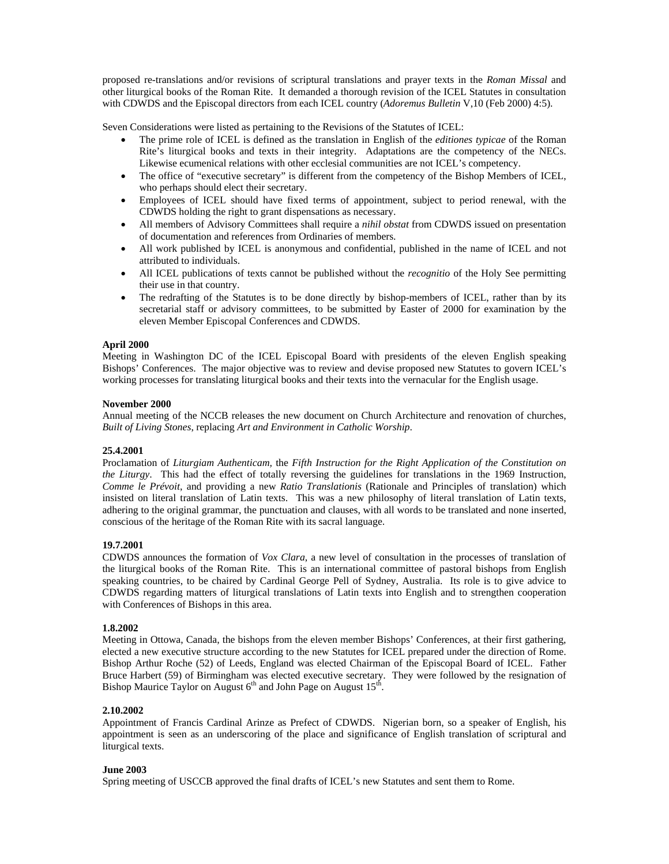proposed re-translations and/or revisions of scriptural translations and prayer texts in the *Roman Missal* and other liturgical books of the Roman Rite. It demanded a thorough revision of the ICEL Statutes in consultation with CDWDS and the Episcopal directors from each ICEL country (*Adoremus Bulletin* V,10 (Feb 2000) 4:5).

Seven Considerations were listed as pertaining to the Revisions of the Statutes of ICEL:

- The prime role of ICEL is defined as the translation in English of the *editiones typicae* of the Roman Rite's liturgical books and texts in their integrity. Adaptations are the competency of the NECs. Likewise ecumenical relations with other ecclesial communities are not ICEL's competency.
- The office of "executive secretary" is different from the competency of the Bishop Members of ICEL, who perhaps should elect their secretary.
- Employees of ICEL should have fixed terms of appointment, subject to period renewal, with the CDWDS holding the right to grant dispensations as necessary.
- All members of Advisory Committees shall require a *nihil obstat* from CDWDS issued on presentation of documentation and references from Ordinaries of members.
- All work published by ICEL is anonymous and confidential, published in the name of ICEL and not attributed to individuals.
- All ICEL publications of texts cannot be published without the *recognitio* of the Holy See permitting their use in that country.
- The redrafting of the Statutes is to be done directly by bishop-members of ICEL, rather than by its secretarial staff or advisory committees, to be submitted by Easter of 2000 for examination by the eleven Member Episcopal Conferences and CDWDS.

### **April 2000**

Meeting in Washington DC of the ICEL Episcopal Board with presidents of the eleven English speaking Bishops' Conferences. The major objective was to review and devise proposed new Statutes to govern ICEL's working processes for translating liturgical books and their texts into the vernacular for the English usage.

### **November 2000**

Annual meeting of the NCCB releases the new document on Church Architecture and renovation of churches, *Built of Living Stones*, replacing *Art and Environment in Catholic Worship*.

## **25.4.2001**

Proclamation of *Liturgiam Authenticam,* the *Fifth Instruction for the Right Application of the Constitution on the Liturgy*. This had the effect of totally reversing the guidelines for translations in the 1969 Instruction, *Comme le Prévoit*, and providing a new *Ratio Translationis* (Rationale and Principles of translation) which insisted on literal translation of Latin texts. This was a new philosophy of literal translation of Latin texts, adhering to the original grammar, the punctuation and clauses, with all words to be translated and none inserted, conscious of the heritage of the Roman Rite with its sacral language.

### **19.7.2001**

CDWDS announces the formation of *Vox Clara*, a new level of consultation in the processes of translation of the liturgical books of the Roman Rite. This is an international committee of pastoral bishops from English speaking countries, to be chaired by Cardinal George Pell of Sydney, Australia. Its role is to give advice to CDWDS regarding matters of liturgical translations of Latin texts into English and to strengthen cooperation with Conferences of Bishops in this area.

#### **1.8.2002**

Meeting in Ottowa, Canada, the bishops from the eleven member Bishops' Conferences, at their first gathering, elected a new executive structure according to the new Statutes for ICEL prepared under the direction of Rome. Bishop Arthur Roche (52) of Leeds, England was elected Chairman of the Episcopal Board of ICEL. Father Bruce Harbert (59) of Birmingham was elected executive secretary. They were followed by the resignation of Bishop Maurice Taylor on August  $6<sup>th</sup>$  and John Page on August  $15<sup>th</sup>$ .

## **2.10.2002**

Appointment of Francis Cardinal Arinze as Prefect of CDWDS. Nigerian born, so a speaker of English, his appointment is seen as an underscoring of the place and significance of English translation of scriptural and liturgical texts.

#### **June 2003**

Spring meeting of USCCB approved the final drafts of ICEL's new Statutes and sent them to Rome.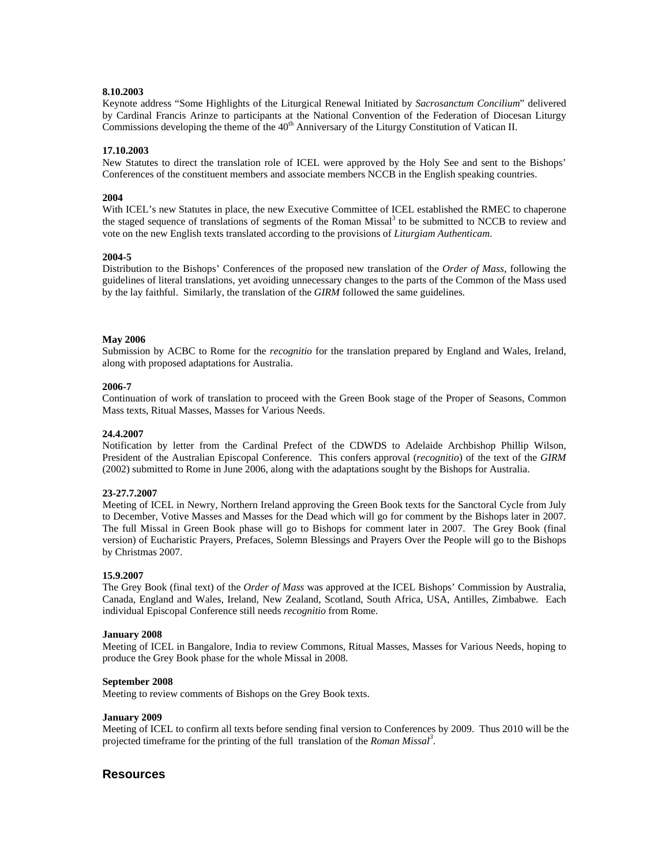## **8.10.2003**

Keynote address "Some Highlights of the Liturgical Renewal Initiated by *Sacrosanctum Concilium*" delivered by Cardinal Francis Arinze to participants at the National Convention of the Federation of Diocesan Liturgy Commissions developing the theme of the 40<sup>th</sup> Anniversary of the Liturgy Constitution of Vatican II.

## **17.10.2003**

New Statutes to direct the translation role of ICEL were approved by the Holy See and sent to the Bishops' Conferences of the constituent members and associate members NCCB in the English speaking countries.

## **2004**

With ICEL's new Statutes in place, the new Executive Committee of ICEL established the RMEC to chaperone the staged sequence of translations of segments of the Roman Missal<sup>3</sup> to be submitted to NCCB to review and vote on the new English texts translated according to the provisions of *Liturgiam Authenticam*.

### **2004-5**

Distribution to the Bishops' Conferences of the proposed new translation of the *Order of Mass*, following the guidelines of literal translations, yet avoiding unnecessary changes to the parts of the Common of the Mass used by the lay faithful. Similarly, the translation of the *GIRM* followed the same guidelines*.* 

### **May 2006**

Submission by ACBC to Rome for the *recognitio* for the translation prepared by England and Wales, Ireland, along with proposed adaptations for Australia.

### **2006-7**

Continuation of work of translation to proceed with the Green Book stage of the Proper of Seasons, Common Mass texts, Ritual Masses, Masses for Various Needs.

#### **24.4.2007**

Notification by letter from the Cardinal Prefect of the CDWDS to Adelaide Archbishop Phillip Wilson, President of the Australian Episcopal Conference. This confers approval (*recognitio*) of the text of the *GIRM* (2002) submitted to Rome in June 2006, along with the adaptations sought by the Bishops for Australia.

#### **23-27.7.2007**

Meeting of ICEL in Newry, Northern Ireland approving the Green Book texts for the Sanctoral Cycle from July to December, Votive Masses and Masses for the Dead which will go for comment by the Bishops later in 2007. The full Missal in Green Book phase will go to Bishops for comment later in 2007. The Grey Book (final version) of Eucharistic Prayers, Prefaces, Solemn Blessings and Prayers Over the People will go to the Bishops by Christmas 2007.

#### **15.9.2007**

The Grey Book (final text) of the *Order of Mass* was approved at the ICEL Bishops' Commission by Australia, Canada, England and Wales, Ireland, New Zealand, Scotland, South Africa, USA, Antilles, Zimbabwe. Each individual Episcopal Conference still needs *recognitio* from Rome.

#### **January 2008**

Meeting of ICEL in Bangalore, India to review Commons, Ritual Masses, Masses for Various Needs, hoping to produce the Grey Book phase for the whole Missal in 2008.

#### **September 2008**

Meeting to review comments of Bishops on the Grey Book texts.

#### **January 2009**

Meeting of ICEL to confirm all texts before sending final version to Conferences by 2009. Thus 2010 will be the projected timeframe for the printing of the full translation of the *Roman Missal<sup>3</sup>* .

## **Resources**